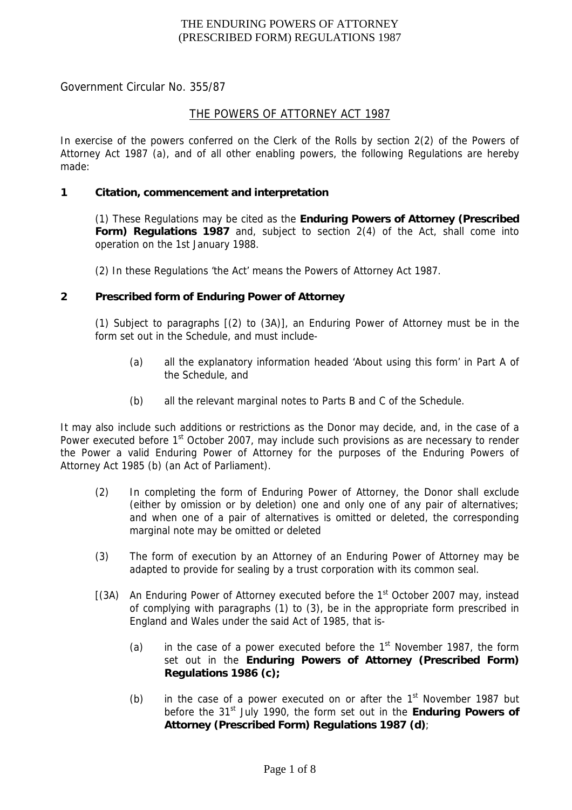Government Circular No. 355/87

## THE POWERS OF ATTORNEY ACT 1987

In exercise of the powers conferred on the Clerk of the Rolls by section 2(2) of the Powers of Attorney Act 1987 (a), and of all other enabling powers, the following Regulations are hereby made:

## **1 Citation, commencement and interpretation**

(1) These Regulations may be cited as the **Enduring Powers of Attorney (Prescribed Form) Regulations 1987** and, subject to section 2(4) of the Act, shall come into operation on the 1st January 1988.

(2) In these Regulations 'the Act' means the Powers of Attorney Act 1987.

### **2 Prescribed form of Enduring Power of Attorney**

(1) Subject to paragraphs [(2) to (3A)], an Enduring Power of Attorney must be in the form set out in the Schedule, and must include-

- (a) all the explanatory information headed 'About using this form' in Part A of the Schedule, and
- (b) all the relevant marginal notes to Parts B and C of the Schedule.

It may also include such additions or restrictions as the Donor may decide, and, in the case of a Power executed before 1<sup>st</sup> October 2007, may include such provisions as are necessary to render the Power a valid Enduring Power of Attorney for the purposes of the Enduring Powers of Attorney Act 1985 (b) (an Act of Parliament).

- (2) In completing the form of Enduring Power of Attorney, the Donor shall exclude (either by omission or by deletion) one and only one of any pair of alternatives; and when one of a pair of alternatives is omitted or deleted, the corresponding marginal note may be omitted or deleted
- (3) The form of execution by an Attorney of an Enduring Power of Attorney may be adapted to provide for sealing by a trust corporation with its common seal.
- $[(3A)$  An Enduring Power of Attorney executed before the 1<sup>st</sup> October 2007 may, instead of complying with paragraphs (1) to (3), be in the appropriate form prescribed in England and Wales under the said Act of 1985, that is-
	- (a) in the case of a power executed before the  $1<sup>st</sup>$  November 1987, the form set out in the **Enduring Powers of Attorney (Prescribed Form) Regulations 1986 (c);**
	- (b) in the case of a power executed on or after the  $1<sup>st</sup>$  November 1987 but before the 31<sup>st</sup> July 1990, the form set out in the **Enduring Powers of Attorney (Prescribed Form) Regulations 1987 (d)**;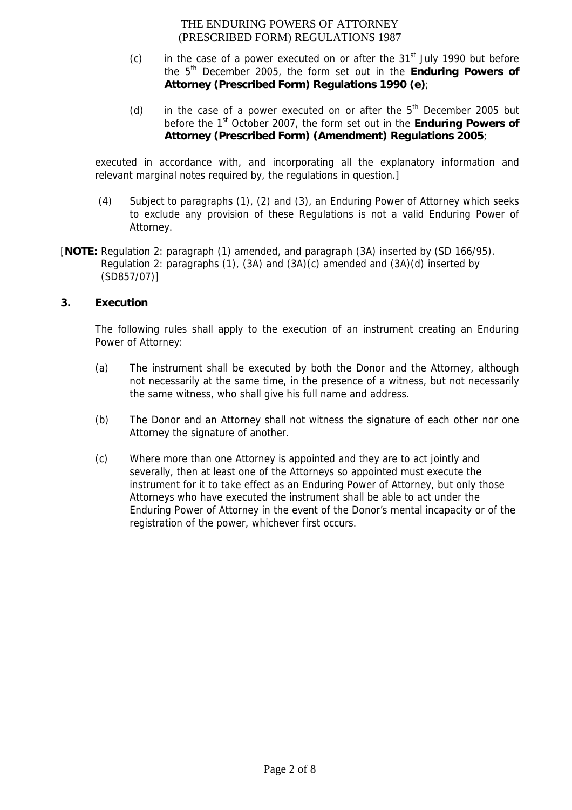- $(c)$  in the case of a power executed on or after the  $31<sup>st</sup>$  July 1990 but before the 5th December 2005, the form set out in the **Enduring Powers of Attorney (Prescribed Form) Regulations 1990 (e)**;
- (d) in the case of a power executed on or after the  $5<sup>th</sup>$  December 2005 but before the 1st October 2007, the form set out in the **Enduring Powers of Attorney (Prescribed Form) (Amendment) Regulations 2005**;

executed in accordance with, and incorporating all the explanatory information and relevant marginal notes required by, the regulations in question.]

- (4) Subject to paragraphs (1), (2) and (3), an Enduring Power of Attorney which seeks to exclude any provision of these Regulations is not a valid Enduring Power of Attorney.
- [**NOTE:** Regulation 2: paragraph (1) amended, and paragraph (3A) inserted by (SD 166/95). Regulation 2: paragraphs (1), (3A) and (3A)(c) amended and (3A)(d) inserted by (SD857/07)]

# **3. Execution**

The following rules shall apply to the execution of an instrument creating an Enduring Power of Attorney:

- (a) The instrument shall be executed by both the Donor and the Attorney, although not necessarily at the same time, in the presence of a witness, but not necessarily the same witness, who shall give his full name and address.
- (b) The Donor and an Attorney shall not witness the signature of each other nor one Attorney the signature of another.
- (c) Where more than one Attorney is appointed and they are to act jointly and severally, then at least one of the Attorneys so appointed must execute the instrument for it to take effect as an Enduring Power of Attorney, but only those Attorneys who have executed the instrument shall be able to act under the Enduring Power of Attorney in the event of the Donor's mental incapacity or of the registration of the power, whichever first occurs.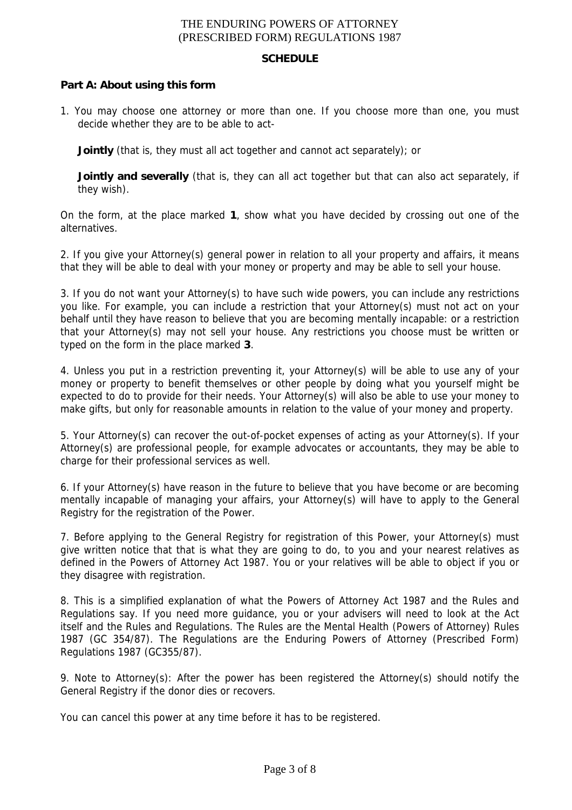#### **SCHEDULE**

## **Part A: About using this form**

1. You may choose one attorney or more than one. If you choose more than one, you must decide whether they are to be able to act-

**Jointly** (that is, they must all act together and cannot act separately); or

**Jointly and severally** (that is, they can all act together but that can also act separately, if they wish).

On the form, at the place marked **1**, show what you have decided by crossing out one of the alternatives.

2. If you give your Attorney(s) general power in relation to all your property and affairs, it means that they will be able to deal with your money or property and may be able to sell your house.

3. If you do not want your Attorney(s) to have such wide powers, you can include any restrictions you like. For example, you can include a restriction that your Attorney(s) must not act on your behalf until they have reason to believe that you are becoming mentally incapable: or a restriction that your Attorney(s) may not sell your house. Any restrictions you choose must be written or typed on the form in the place marked **3**.

4. Unless you put in a restriction preventing it, your Attorney(s) will be able to use any of your money or property to benefit themselves or other people by doing what you yourself might be expected to do to provide for their needs. Your Attorney(s) will also be able to use your money to make gifts, but only for reasonable amounts in relation to the value of your money and property.

5. Your Attorney(s) can recover the out-of-pocket expenses of acting as your Attorney(s). If your Attorney(s) are professional people, for example advocates or accountants, they may be able to charge for their professional services as well.

6. If your Attorney(s) have reason in the future to believe that you have become or are becoming mentally incapable of managing your affairs, your Attorney(s) will have to apply to the General Registry for the registration of the Power.

7. Before applying to the General Registry for registration of this Power, your Attorney(s) must give written notice that that is what they are going to do, to you and your nearest relatives as defined in the Powers of Attorney Act 1987. You or your relatives will be able to object if you or they disagree with registration.

8. This is a simplified explanation of what the Powers of Attorney Act 1987 and the Rules and Regulations say. If you need more guidance, you or your advisers will need to look at the Act itself and the Rules and Regulations. The Rules are the Mental Health (Powers of Attorney) Rules 1987 (GC 354/87). The Regulations are the Enduring Powers of Attorney (Prescribed Form) Regulations 1987 (GC355/87).

9. Note to Attorney(s): After the power has been registered the Attorney(s) should notify the General Registry if the donor dies or recovers.

You can cancel this power at any time before it has to be registered.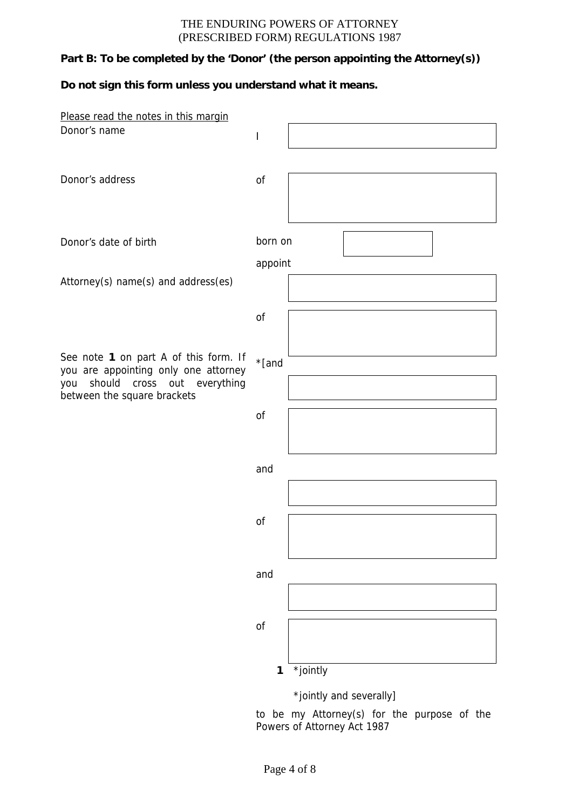# **Part B: To be completed by the 'Donor' (the person appointing the Attorney(s))**

# **Do not sign this form unless you understand what it means.**

| Please read the notes in this margin                              |         |                         |
|-------------------------------------------------------------------|---------|-------------------------|
| Donor's name                                                      | ı       |                         |
|                                                                   |         |                         |
|                                                                   |         |                         |
| Donor's address                                                   | of      |                         |
|                                                                   |         |                         |
|                                                                   |         |                         |
|                                                                   |         |                         |
| Donor's date of birth                                             | born on |                         |
|                                                                   |         |                         |
|                                                                   | appoint |                         |
| Attorney(s) name(s) and address(es)                               |         |                         |
|                                                                   |         |                         |
|                                                                   | of      |                         |
|                                                                   |         |                         |
|                                                                   |         |                         |
| See note 1 on part A of this form. If                             | *[and   |                         |
| you are appointing only one attorney                              |         |                         |
| should cross out everything<br>you<br>between the square brackets |         |                         |
|                                                                   |         |                         |
|                                                                   | of      |                         |
|                                                                   |         |                         |
|                                                                   |         |                         |
|                                                                   | and     |                         |
|                                                                   |         |                         |
|                                                                   |         |                         |
|                                                                   | of      |                         |
|                                                                   |         |                         |
|                                                                   |         |                         |
|                                                                   |         |                         |
|                                                                   | and     |                         |
|                                                                   |         |                         |
|                                                                   |         |                         |
|                                                                   | of      |                         |
|                                                                   |         |                         |
|                                                                   |         |                         |
|                                                                   | 1       | *jointly                |
|                                                                   |         |                         |
|                                                                   |         | *jointly and severally] |
|                                                                   |         | [0.1]<br>$+ h$<br>$+h$  |

to be my Attorney(s) for the purpose of the Powers of Attorney Act 1987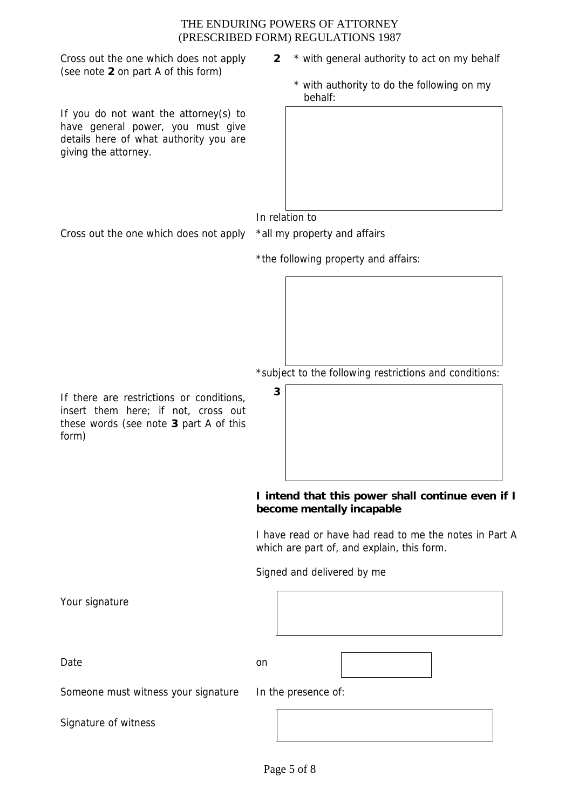Cross out the one which does not apply (see note **2** on part A of this form)

If you do not want the attorney(s) to have general power, you must give details here of what authority you are giving the attorney.

- **2** \* with general authority to act on my behalf
	- \* with authority to do the following on my behalf:

In relation to

Cross out the one which does not apply \*all my property and affairs

| *the following property and affairs: |  |  |
|--------------------------------------|--|--|

\*subject to the following restrictions and conditions:

**<sup>3</sup>** If there are restrictions or conditions, insert them here; if not, cross out these words (see note **3** part A of this form)

# **I intend that this power shall continue even if I become mentally incapable**

I have read or have had read to me the notes in Part A which are part of, and explain, this form.

Signed and delivered by me

Your signature

Date on the only on the only on the only on the only on the only on the only on the only on the only on the only on the only on the only on the only only on the only only only on the only only only only on the only only on

Someone must witness your signature In the presence of:

Signature of witness

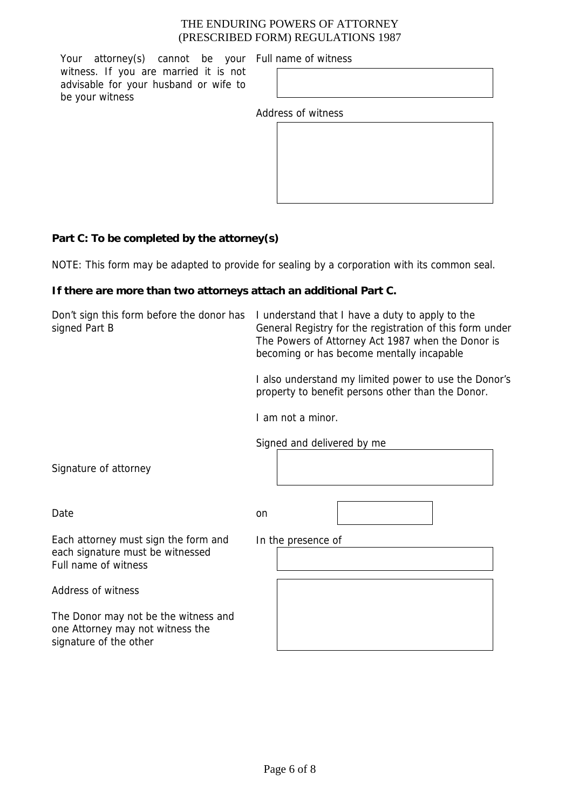Your attorney(s) cannot be your Full name of witness witness. If you are married it is not advisable for your husband or wife to be your witness

Address of witness

| ccounivi iu cco iuu |  |  |
|---------------------|--|--|
|                     |  |  |
|                     |  |  |
|                     |  |  |
|                     |  |  |
|                     |  |  |
|                     |  |  |
|                     |  |  |
|                     |  |  |
|                     |  |  |
|                     |  |  |

# **Part C: To be completed by the attorney(s)**

NOTE: This form may be adapted to provide for sealing by a corporation with its common seal.

# **If there are more than two attorneys attach an additional Part C.**

| Don't sign this form before the donor has<br>signed Part B                                         | I understand that I have a duty to apply to the<br>General Registry for the registration of this form under<br>The Powers of Attorney Act 1987 when the Donor is<br>becoming or has become mentally incapable |
|----------------------------------------------------------------------------------------------------|---------------------------------------------------------------------------------------------------------------------------------------------------------------------------------------------------------------|
|                                                                                                    | I also understand my limited power to use the Donor's<br>property to benefit persons other than the Donor.                                                                                                    |
|                                                                                                    | I am not a minor.                                                                                                                                                                                             |
|                                                                                                    | Signed and delivered by me                                                                                                                                                                                    |
| Signature of attorney                                                                              |                                                                                                                                                                                                               |
| Date                                                                                               | on                                                                                                                                                                                                            |
| Each attorney must sign the form and<br>each signature must be witnessed<br>Full name of witness   | In the presence of                                                                                                                                                                                            |
| Address of witness                                                                                 |                                                                                                                                                                                                               |
| The Donor may not be the witness and<br>one Attorney may not witness the<br>signature of the other |                                                                                                                                                                                                               |